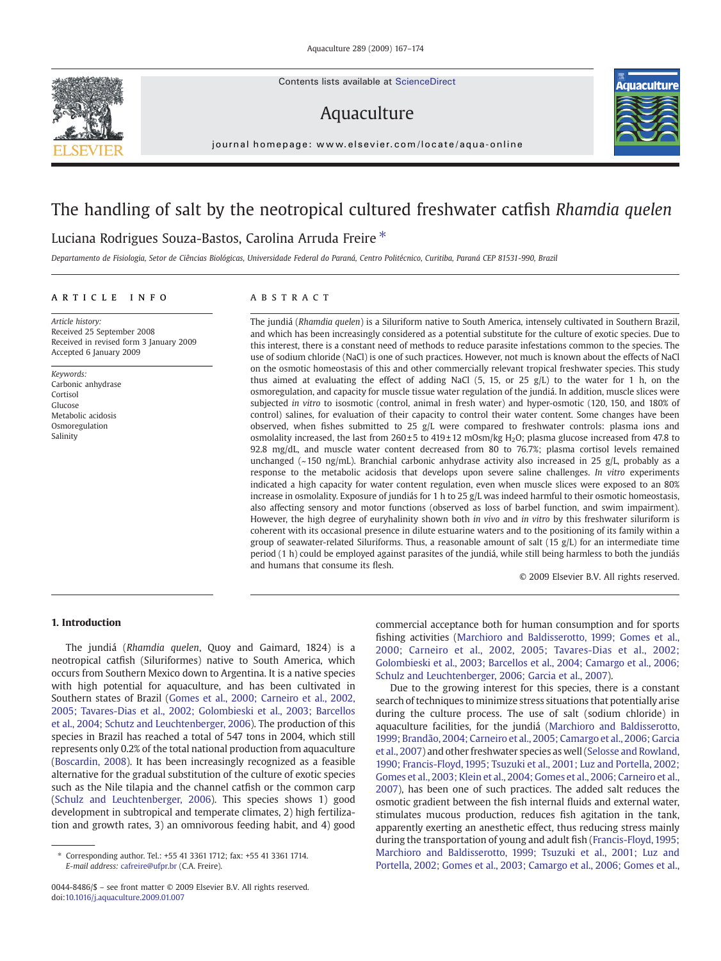Contents lists available at ScienceDirect

# Aquaculture



journal homepage: www.elsevier.com/locate/aqua-online

# The handling of salt by the neotropical cultured freshwater catfish Rhamdia quelen

# Luciana Rodrigues Souza-Bastos, Carolina Arruda Freire<sup>\*</sup>

Departamento de Fisiologia, Setor de Ciências Biológicas, Universidade Federal do Paraná, Centro Politécnico, Curitiba, Paraná CEP 81531-990, Brazil

# article info abstract

Article history: Received 25 September 2008 Received in revised form 3 January 2009 Accepted 6 January 2009

Keywords: Carbonic anhydrase Cortisol Glucose Metabolic acidosis Osmoregulation Salinity

The jundiá (Rhamdia quelen) is a Siluriform native to South America, intensely cultivated in Southern Brazil, and which has been increasingly considered as a potential substitute for the culture of exotic species. Due to this interest, there is a constant need of methods to reduce parasite infestations common to the species. The use of sodium chloride (NaCl) is one of such practices. However, not much is known about the effects of NaCl on the osmotic homeostasis of this and other commercially relevant tropical freshwater species. This study thus aimed at evaluating the effect of adding NaCl (5, 15, or 25 g/L) to the water for 1 h, on the osmoregulation, and capacity for muscle tissue water regulation of the jundiá. In addition, muscle slices were subjected in vitro to isosmotic (control, animal in fresh water) and hyper-osmotic (120, 150, and 180% of control) salines, for evaluation of their capacity to control their water content. Some changes have been observed, when fishes submitted to 25 g/L were compared to freshwater controls: plasma ions and osmolality increased, the last from  $260 \pm 5$  to  $419 \pm 12$  mOsm/kg H<sub>2</sub>O; plasma glucose increased from 47.8 to 92.8 mg/dL, and muscle water content decreased from 80 to 76.7%; plasma cortisol levels remained unchanged ( $\sim$ 150 ng/mL). Branchial carbonic anhydrase activity also increased in 25 g/L, probably as a response to the metabolic acidosis that develops upon severe saline challenges. In vitro experiments indicated a high capacity for water content regulation, even when muscle slices were exposed to an 80% increase in osmolality. Exposure of jundiás for 1 h to 25 g/L was indeed harmful to their osmotic homeostasis, also affecting sensory and motor functions (observed as loss of barbel function, and swim impairment). However, the high degree of euryhalinity shown both in vivo and in vitro by this freshwater siluriform is coherent with its occasional presence in dilute estuarine waters and to the positioning of its family within a group of seawater-related Siluriforms. Thus, a reasonable amount of salt  $(15 \text{ g/L})$  for an intermediate time period (1 h) could be employed against parasites of the jundiá, while still being harmless to both the jundiás and humans that consume its flesh.

© 2009 Elsevier B.V. All rights reserved.

# 1. Introduction

The jundiá (Rhamdia quelen, Quoy and Gaimard, 1824) is a neotropical catfish (Siluriformes) native to South America, which occurs from Southern Mexico down to Argentina. It is a native species with high potential for aquaculture, and has been cultivated in Southern states of Brazil ([Gomes et al., 2000; Carneiro et al., 2002,](#page-6-0) [2005; Tavares-Dias et al., 2002; Golombieski et al., 2003; Barcellos](#page-6-0) [et al., 2004; Schutz and Leuchtenberger, 2006\)](#page-6-0). The production of this species in Brazil has reached a total of 547 tons in 2004, which still represents only 0.2% of the total national production from aquaculture [\(Boscardin, 2008](#page-6-0)). It has been increasingly recognized as a feasible alternative for the gradual substitution of the culture of exotic species such as the Nile tilapia and the channel catfish or the common carp [\(Schulz and Leuchtenberger, 2006](#page-6-0)). This species shows 1) good development in subtropical and temperate climates, 2) high fertilization and growth rates, 3) an omnivorous feeding habit, and 4) good

commercial acceptance both for human consumption and for sports fishing activities ([Marchioro and Baldisserotto, 1999; Gomes et al.,](#page-6-0) [2000; Carneiro et al., 2002, 2005; Tavares-Dias et al., 2002;](#page-6-0) [Golombieski et al., 2003; Barcellos et al., 2004; Camargo et al., 2006;](#page-6-0) [Schulz and Leuchtenberger, 2006; Garcia et al., 2007\)](#page-6-0).

Due to the growing interest for this species, there is a constant search of techniques to minimize stress situations that potentially arise during the culture process. The use of salt (sodium chloride) in aquaculture facilities, for the jundiá ([Marchioro and Baldisserotto,](#page-6-0) [1999; Brandão, 2004; Carneiro et al., 2005; Camargo et al., 2006; Garcia](#page-6-0) [et al., 2007\)](#page-6-0) and other freshwater species as well [\(Selosse and Rowland,](#page-6-0) [1990; Francis-Floyd, 1995; Tsuzuki et al., 2001; Luz and Portella, 2002;](#page-6-0) [Gomes et al., 2003; Klein et al., 2004; Gomes et al., 2006; Carneiro et al.,](#page-6-0) [2007\)](#page-6-0), has been one of such practices. The added salt reduces the osmotic gradient between the fish internal fluids and external water, stimulates mucous production, reduces fish agitation in the tank, apparently exerting an anesthetic effect, thus reducing stress mainly during the transportation of young and adult fish ([Francis-Floyd, 1995;](#page-6-0) [Marchioro and Baldisserotto, 1999; Tsuzuki et al., 2001; Luz and](#page-6-0) [Portella, 2002; Gomes et al., 2003; Camargo et al., 2006; Gomes et al.,](#page-6-0)



<sup>⁎</sup> Corresponding author. Tel.: +55 41 3361 1712; fax: +55 41 3361 1714. E-mail address: [cafreire@ufpr.br](mailto:cafreire@ufpr.br) (C.A. Freire).

<sup>0044-8486/\$</sup> – see front matter © 2009 Elsevier B.V. All rights reserved. doi:[10.1016/j.aquaculture.2009.01.007](http://dx.doi.org/10.1016/j.aquaculture.2009.01.007)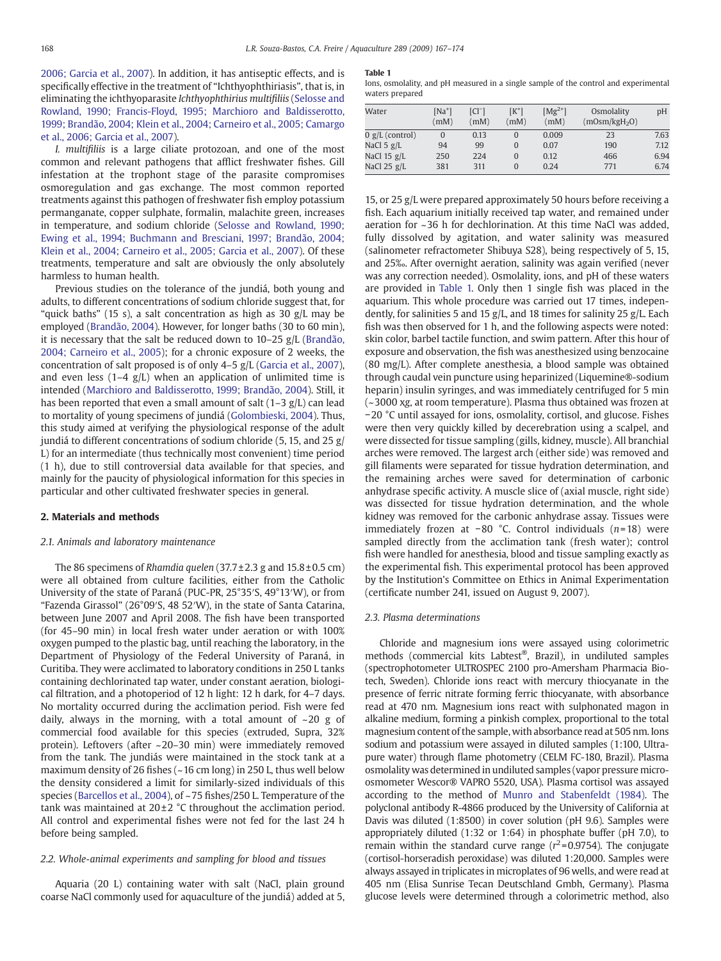[2006; Garcia et al., 2007](#page-6-0)). In addition, it has antiseptic effects, and is specifically effective in the treatment of "Ichthyophthiriasis", that is, in eliminating the ichthyoparasite Ichthyophthirius multifiliis [\(Selosse and](#page-6-0) [Rowland, 1990; Francis-Floyd, 1995; Marchioro and Baldisserotto,](#page-6-0) [1999; Brandão, 2004; Klein et al., 2004; Carneiro et al., 2005; Camargo](#page-6-0) [et al., 2006; Garcia et al., 2007](#page-6-0)).

I. multifiliis is a large ciliate protozoan, and one of the most common and relevant pathogens that afflict freshwater fishes. Gill infestation at the trophont stage of the parasite compromises osmoregulation and gas exchange. The most common reported treatments against this pathogen of freshwater fish employ potassium permanganate, copper sulphate, formalin, malachite green, increases in temperature, and sodium chloride [\(Selosse and Rowland, 1990;](#page-6-0) [Ewing et al., 1994; Buchmann and Bresciani, 1997; Brandão, 2004;](#page-6-0) [Klein et al., 2004; Carneiro et al., 2005; Garcia et al., 2007](#page-6-0)). Of these treatments, temperature and salt are obviously the only absolutely harmless to human health.

Previous studies on the tolerance of the jundiá, both young and adults, to different concentrations of sodium chloride suggest that, for "quick baths" (15 s), a salt concentration as high as 30 g/L may be employed ([Brandão, 2004](#page-6-0)). However, for longer baths (30 to 60 min), it is necessary that the salt be reduced down to 10–25 g/L ([Brandão,](#page-6-0) [2004; Carneiro et al., 2005](#page-6-0)); for a chronic exposure of 2 weeks, the concentration of salt proposed is of only 4–5 g/L ([Garcia et al., 2007](#page-6-0)), and even less  $(1-4 \text{ g/L})$  when an application of unlimited time is intended ([Marchioro and Baldisserotto, 1999; Brandão, 2004](#page-6-0)). Still, it has been reported that even a small amount of salt  $(1-3 g/L)$  can lead to mortality of young specimens of jundiá ([Golombieski, 2004\)](#page-6-0). Thus, this study aimed at verifying the physiological response of the adult jundiá to different concentrations of sodium chloride (5, 15, and 25 g/ L) for an intermediate (thus technically most convenient) time period (1 h), due to still controversial data available for that species, and mainly for the paucity of physiological information for this species in particular and other cultivated freshwater species in general.

# 2. Materials and methods

# 2.1. Animals and laboratory maintenance

The 86 specimens of Rhamdia quelen  $(37.7 \pm 2.3 \text{ g}$  and  $15.8 \pm 0.5 \text{ cm})$ were all obtained from culture facilities, either from the Catholic University of the state of Paraná (PUC-PR, 25°35′S, 49°13′W), or from "Fazenda Girassol" (26°09′S, 48 52′W), in the state of Santa Catarina, between June 2007 and April 2008. The fish have been transported (for 45–90 min) in local fresh water under aeration or with 100% oxygen pumped to the plastic bag, until reaching the laboratory, in the Department of Physiology of the Federal University of Paraná, in Curitiba. They were acclimated to laboratory conditions in 250 L tanks containing dechlorinated tap water, under constant aeration, biological filtration, and a photoperiod of 12 h light: 12 h dark, for 4–7 days. No mortality occurred during the acclimation period. Fish were fed daily, always in the morning, with a total amount of  $\sim$ 20 g of commercial food available for this species (extruded, Supra, 32% protein). Leftovers (after ~20–30 min) were immediately removed from the tank. The jundiás were maintained in the stock tank at a maximum density of 26 fishes (~16 cm long) in 250 L, thus well below the density considered a limit for similarly-sized individuals of this species [\(Barcellos et al., 2004\)](#page-6-0), of ~75 fishes/250 L. Temperature of the tank was maintained at  $20\pm2$  °C throughout the acclimation period. All control and experimental fishes were not fed for the last 24 h before being sampled.

# 2.2. Whole-animal experiments and sampling for blood and tissues

Aquaria (20 L) containing water with salt (NaCl, plain ground coarse NaCl commonly used for aquaculture of the jundiá) added at 5,

#### Table 1

Ions, osmolality, and pH measured in a single sample of the control and experimental waters prepared

| Water                 | $[Na^+]$<br>(mM) | $ Cl^{-} $<br>(mM) | $[K^+]$<br>(mM) | $[Mg^{2+}]$<br>(mM) | Osmolality<br>$(mOsm/kgH_2O)$ | pH   |
|-----------------------|------------------|--------------------|-----------------|---------------------|-------------------------------|------|
| $0 g/L$ (control)     | $\Omega$         | 0.13               | $\Omega$        | 0.009               | 23                            | 7.63 |
| NaCl 5 $g/L$          | 94               | 99                 | $\Omega$        | 0.07                | 190                           | 7.12 |
| NaCl $15 \text{ g/L}$ | 250              | 224                | $\Omega$        | 0.12                | 466                           | 6.94 |
| NaCl $25$ g/L         | 381              | 311                | $\Omega$        | 0.24                | 771                           | 6.74 |

15, or 25 g/L were prepared approximately 50 hours before receiving a fish. Each aquarium initially received tap water, and remained under aeration for ~36 h for dechlorination. At this time NaCl was added, fully dissolved by agitation, and water salinity was measured (salinometer refractometer Shibuya S28), being respectively of 5, 15, and 25‰. After overnight aeration, salinity was again verified (never was any correction needed). Osmolality, ions, and pH of these waters are provided in Table 1. Only then 1 single fish was placed in the aquarium. This whole procedure was carried out 17 times, independently, for salinities 5 and 15 g/L, and 18 times for salinity 25 g/L. Each fish was then observed for 1 h, and the following aspects were noted: skin color, barbel tactile function, and swim pattern. After this hour of exposure and observation, the fish was anesthesized using benzocaine (80 mg/L). After complete anesthesia, a blood sample was obtained through caudal vein puncture using heparinized (Liquemine®-sodium heparin) insulin syringes, and was immediately centrifuged for 5 min (~3000 xg, at room temperature). Plasma thus obtained was frozen at −20 °C until assayed for ions, osmolality, cortisol, and glucose. Fishes were then very quickly killed by decerebration using a scalpel, and were dissected for tissue sampling (gills, kidney, muscle). All branchial arches were removed. The largest arch (either side) was removed and gill filaments were separated for tissue hydration determination, and the remaining arches were saved for determination of carbonic anhydrase specific activity. A muscle slice of (axial muscle, right side) was dissected for tissue hydration determination, and the whole kidney was removed for the carbonic anhydrase assay. Tissues were immediately frozen at −80 °C. Control individuals (n= 18) were sampled directly from the acclimation tank (fresh water); control fish were handled for anesthesia, blood and tissue sampling exactly as the experimental fish. This experimental protocol has been approved by the Institution's Committee on Ethics in Animal Experimentation (certificate number 241, issued on August 9, 2007).

# 2.3. Plasma determinations

Chloride and magnesium ions were assayed using colorimetric methods (commercial kits Labtest®, Brazil), in undiluted samples (spectrophotometer ULTROSPEC 2100 pro-Amersham Pharmacia Biotech, Sweden). Chloride ions react with mercury thiocyanate in the presence of ferric nitrate forming ferric thiocyanate, with absorbance read at 470 nm. Magnesium ions react with sulphonated magon in alkaline medium, forming a pinkish complex, proportional to the total magnesium content of the sample, with absorbance read at 505 nm. Ions sodium and potassium were assayed in diluted samples (1:100, Ultrapure water) through flame photometry (CELM FC-180, Brazil). Plasma osmolality was determined in undiluted samples (vapor pressure microosmometer Wescor® VAPRO 5520, USA). Plasma cortisol was assayed according to the method of [Munro and Stabenfeldt \(1984\).](#page-6-0) The polyclonal antibody R-4866 produced by the University of California at Davis was diluted (1:8500) in cover solution (pH 9.6). Samples were appropriately diluted (1:32 or 1:64) in phosphate buffer (pH 7.0), to remain within the standard curve range ( $r^2$ =0.9754). The conjugate (cortisol-horseradish peroxidase) was diluted 1:20,000. Samples were always assayed in triplicates in microplates of 96 wells, and were read at 405 nm (Elisa Sunrise Tecan Deutschland Gmbh, Germany). Plasma glucose levels were determined through a colorimetric method, also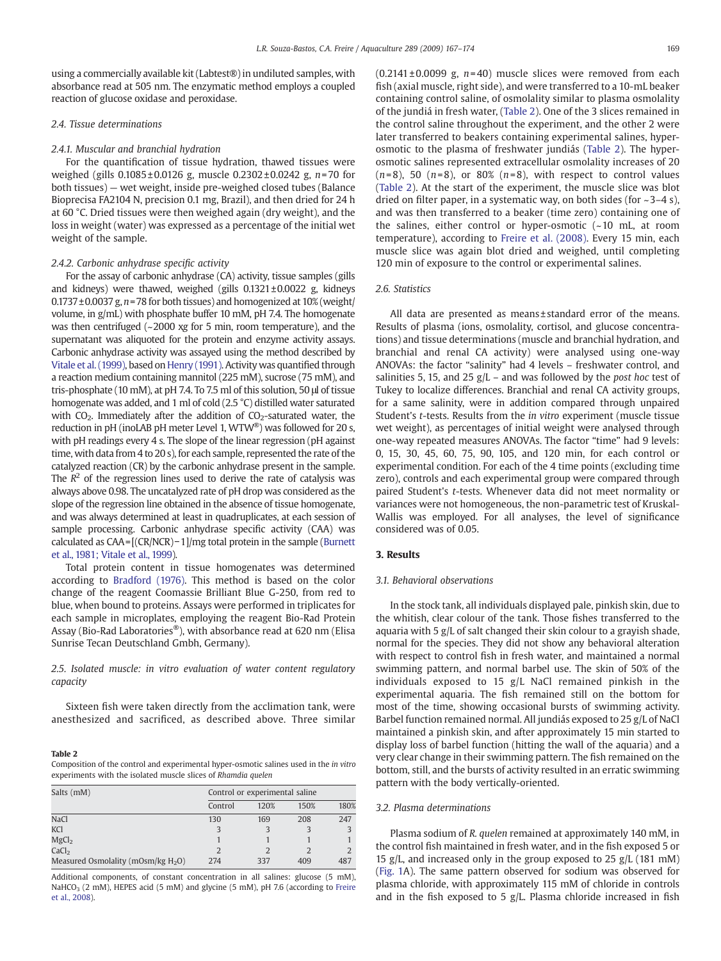<span id="page-2-0"></span>using a commercially available kit (Labtest®) in undiluted samples, with absorbance read at 505 nm. The enzymatic method employs a coupled reaction of glucose oxidase and peroxidase.

# 2.4. Tissue determinations

# 2.4.1. Muscular and branchial hydration

For the quantification of tissue hydration, thawed tissues were weighed (gills 0.1085±0.0126 g, muscle 0.2302±0.0242 g, n=70 for both tissues) — wet weight, inside pre-weighed closed tubes (Balance Bioprecisa FA2104 N, precision 0.1 mg, Brazil), and then dried for 24 h at 60 °C. Dried tissues were then weighed again (dry weight), and the loss in weight (water) was expressed as a percentage of the initial wet weight of the sample.

# 2.4.2. Carbonic anhydrase specific activity

For the assay of carbonic anhydrase (CA) activity, tissue samples (gills and kidneys) were thawed, weighed (gills  $0.1321 \pm 0.0022$  g, kidneys  $0.1737 \pm 0.0037$  g,  $n = 78$  for both tissues) and homogenized at  $10\%$  (weight) volume, in g/mL) with phosphate buffer 10 mM, pH 7.4. The homogenate was then centrifuged (~2000 xg for 5 min, room temperature), and the supernatant was aliquoted for the protein and enzyme activity assays. Carbonic anhydrase activity was assayed using the method described by [Vitale et al. \(1999\)](#page-7-0), based on [Henry \(1991\)](#page-6-0). Activity was quantified through a reaction medium containing mannitol (225 mM), sucrose (75 mM), and tris-phosphate (10 mM), at pH 7.4. To 7.5 ml of this solution, 50 μl of tissue homogenate was added, and 1 ml of cold (2.5 °C) distilled water saturated with  $CO<sub>2</sub>$ . Immediately after the addition of  $CO<sub>2</sub>$ -saturated water, the reduction in pH (inoLAB pH meter Level 1, WTW®) was followed for 20 s, with pH readings every 4 s. The slope of the linear regression (pH against time, with data from 4 to 20 s), for each sample, represented the rate of the catalyzed reaction (CR) by the carbonic anhydrase present in the sample. The  $R^2$  of the regression lines used to derive the rate of catalysis was always above 0.98. The uncatalyzed rate of pH drop was considered as the slope of the regression line obtained in the absence of tissue homogenate, and was always determined at least in quadruplicates, at each session of sample processing. Carbonic anhydrase specific activity (CAA) was calculated as CAA= [(CR/NCR)−1]/mg total protein in the sample [\(Burnett](#page-6-0) [et al., 1981; Vitale et al., 1999](#page-6-0)).

Total protein content in tissue homogenates was determined according to [Bradford \(1976\)](#page-6-0). This method is based on the color change of the reagent Coomassie Brilliant Blue G-250, from red to blue, when bound to proteins. Assays were performed in triplicates for each sample in microplates, employing the reagent Bio-Rad Protein Assay (Bio-Rad Laboratories®), with absorbance read at 620 nm (Elisa Sunrise Tecan Deutschland Gmbh, Germany).

2.5. Isolated muscle: in vitro evaluation of water content regulatory capacity

Sixteen fish were taken directly from the acclimation tank, were anesthesized and sacrificed, as described above. Three similar

#### Table 2

Composition of the control and experimental hyper-osmotic salines used in the in vitro experiments with the isolated muscle slices of Rhamdia quelen

| Salts (mM)                            | Control or experimental saline |      |      |      |  |
|---------------------------------------|--------------------------------|------|------|------|--|
|                                       | Control                        | 120% | 150% | 180% |  |
| <b>NaCl</b>                           | 130                            | 169  | 208  | 247  |  |
| <b>KCl</b>                            |                                |      |      |      |  |
| MgCl <sub>2</sub>                     |                                |      |      |      |  |
| CaCl <sub>2</sub>                     |                                |      |      |      |  |
| Measured Osmolality (mOsm/kg $H_2O$ ) | 274                            | 337  | 409  | 487  |  |

Additional components, of constant concentration in all salines: glucose (5 mM), NaHCO<sub>3</sub> (2 mM), HEPES acid (5 mM) and glycine (5 mM), pH 7.6 (according to [Freire](#page-6-0) [et al., 2008\)](#page-6-0).

 $(0.2141 \pm 0.0099$  g,  $n=40)$  muscle slices were removed from each fish (axial muscle, right side), and were transferred to a 10-mL beaker containing control saline, of osmolality similar to plasma osmolality of the jundiá in fresh water, (Table 2). One of the 3 slices remained in the control saline throughout the experiment, and the other 2 were later transferred to beakers containing experimental salines, hyperosmotic to the plasma of freshwater jundiás (Table 2). The hyperosmotic salines represented extracellular osmolality increases of 20  $(n=8)$ , 50  $(n=8)$ , or 80%  $(n=8)$ , with respect to control values (Table 2). At the start of the experiment, the muscle slice was blot dried on filter paper, in a systematic way, on both sides (for  $\sim$ 3–4 s), and was then transferred to a beaker (time zero) containing one of the salines, either control or hyper-osmotic (~10 mL, at room temperature), according to [Freire et al. \(2008\).](#page-6-0) Every 15 min, each muscle slice was again blot dried and weighed, until completing 120 min of exposure to the control or experimental salines.

# 2.6. Statistics

All data are presented as means±standard error of the means. Results of plasma (ions, osmolality, cortisol, and glucose concentrations) and tissue determinations (muscle and branchial hydration, and branchial and renal CA activity) were analysed using one-way ANOVAs: the factor "salinity" had 4 levels – freshwater control, and salinities 5, 15, and 25  $g/L$  – and was followed by the *post hoc* test of Tukey to localize differences. Branchial and renal CA activity groups, for a same salinity, were in addition compared through unpaired Student's t-tests. Results from the in vitro experiment (muscle tissue wet weight), as percentages of initial weight were analysed through one-way repeated measures ANOVAs. The factor "time" had 9 levels: 0, 15, 30, 45, 60, 75, 90, 105, and 120 min, for each control or experimental condition. For each of the 4 time points (excluding time zero), controls and each experimental group were compared through paired Student's t-tests. Whenever data did not meet normality or variances were not homogeneous, the non-parametric test of Kruskal-Wallis was employed. For all analyses, the level of significance considered was of 0.05.

# 3. Results

# 3.1. Behavioral observations

In the stock tank, all individuals displayed pale, pinkish skin, due to the whitish, clear colour of the tank. Those fishes transferred to the aquaria with 5 g/L of salt changed their skin colour to a grayish shade, normal for the species. They did not show any behavioral alteration with respect to control fish in fresh water, and maintained a normal swimming pattern, and normal barbel use. The skin of 50% of the individuals exposed to 15 g/L NaCl remained pinkish in the experimental aquaria. The fish remained still on the bottom for most of the time, showing occasional bursts of swimming activity. Barbel function remained normal. All jundiás exposed to 25 g/L of NaCl maintained a pinkish skin, and after approximately 15 min started to display loss of barbel function (hitting the wall of the aquaria) and a very clear change in their swimming pattern. The fish remained on the bottom, still, and the bursts of activity resulted in an erratic swimming pattern with the body vertically-oriented.

# 3.2. Plasma determinations

Plasma sodium of R. quelen remained at approximately 140 mM, in the control fish maintained in fresh water, and in the fish exposed 5 or 15 g/L, and increased only in the group exposed to 25 g/L (181 mM) [\(Fig. 1](#page-3-0)A). The same pattern observed for sodium was observed for plasma chloride, with approximately 115 mM of chloride in controls and in the fish exposed to 5  $g/L$ . Plasma chloride increased in fish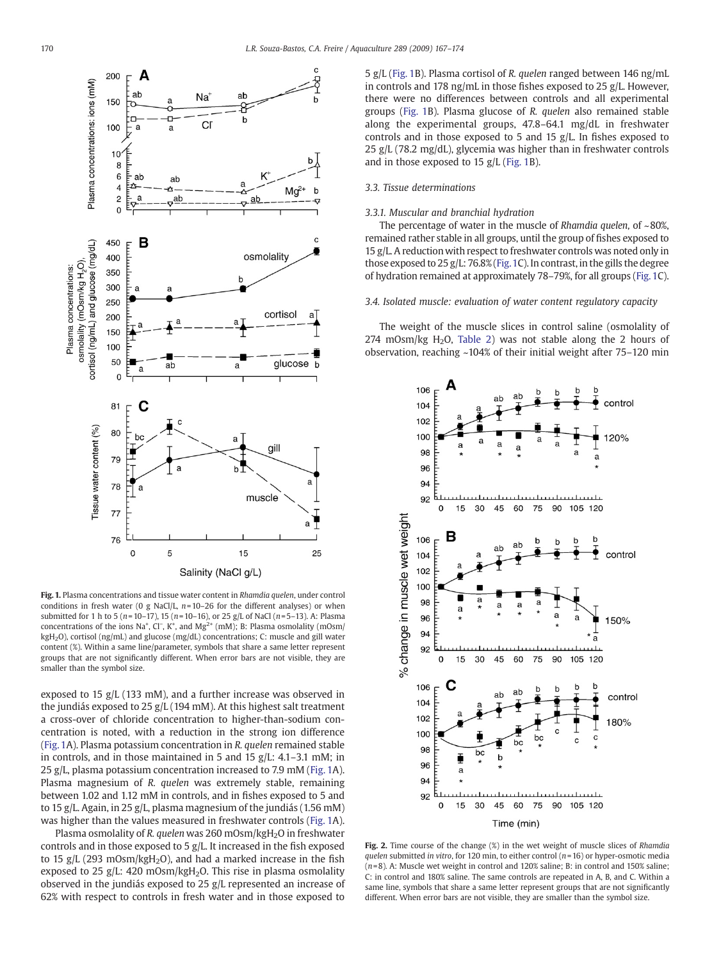<span id="page-3-0"></span>

Fig. 1. Plasma concentrations and tissue water content in Rhamdia quelen, under control conditions in fresh water (0 g NaCl/L,  $n=10-26$  for the different analyses) or when submitted for 1 h to 5 ( $n=10-17$ ), 15 ( $n=10-16$ ), or 25 g/L of NaCl ( $n=5-13$ ). A: Plasma concentrations of the ions Na<sup>+</sup>, Cl<sup>−</sup>, K<sup>+</sup>, and Mg<sup>2+</sup> (mM); B: Plasma osmolality (mOsm/ kgH2O), cortisol (ng/mL) and glucose (mg/dL) concentrations; C: muscle and gill water content (%). Within a same line/parameter, symbols that share a same letter represent groups that are not significantly different. When error bars are not visible, they are smaller than the symbol size.

exposed to 15 g/L (133 mM), and a further increase was observed in the jundiás exposed to 25 g/L (194 mM). At this highest salt treatment a cross-over of chloride concentration to higher-than-sodium concentration is noted, with a reduction in the strong ion difference (Fig. 1A). Plasma potassium concentration in R. quelen remained stable in controls, and in those maintained in 5 and 15 g/L: 4.1–3.1 mM; in 25 g/L, plasma potassium concentration increased to 7.9 mM (Fig. 1A). Plasma magnesium of R. quelen was extremely stable, remaining between 1.02 and 1.12 mM in controls, and in fishes exposed to 5 and to 15 g/L. Again, in 25 g/L, plasma magnesium of the jundiás (1.56 mM) was higher than the values measured in freshwater controls (Fig. 1A).

Plasma osmolality of R. quelen was 260 mOsm/kgH<sub>2</sub>O in freshwater controls and in those exposed to 5 g/L. It increased in the fish exposed to 15 g/L (293 mOsm/kgH<sub>2</sub>O), and had a marked increase in the fish exposed to 25 g/L: 420 mOsm/kgH<sub>2</sub>O. This rise in plasma osmolality observed in the jundiás exposed to 25 g/L represented an increase of 62% with respect to controls in fresh water and in those exposed to

5 g/L (Fig. 1B). Plasma cortisol of R. quelen ranged between 146 ng/mL in controls and 178 ng/mL in those fishes exposed to 25 g/L. However, there were no differences between controls and all experimental groups (Fig. 1B). Plasma glucose of R. quelen also remained stable along the experimental groups, 47.8–64.1 mg/dL in freshwater controls and in those exposed to 5 and 15 g/L. In fishes exposed to 25 g/L (78.2 mg/dL), glycemia was higher than in freshwater controls and in those exposed to 15 g/L (Fig. 1B).

# 3.3. Tissue determinations

# 3.3.1. Muscular and branchial hydration

The percentage of water in the muscle of Rhamdia quelen, of  $\sim 80\%$ . remained rather stable in all groups, until the group of fishes exposed to 15 g/L. A reduction with respect to freshwater controls was noted only in those exposed to 25 g/L: 76.8% (Fig.1C). In contrast, in the gills the degree of hydration remained at approximately 78–79%, for all groups (Fig. 1C).

# 3.4. Isolated muscle: evaluation of water content regulatory capacity

The weight of the muscle slices in control saline (osmolality of 274 mOsm/kg H<sub>2</sub>O, [Table 2](#page-2-0)) was not stable along the 2 hours of observation, reaching ~104% of their initial weight after 75–120 min



Fig. 2. Time course of the change (%) in the wet weight of muscle slices of Rhamdia quelen submitted in vitro, for 120 min, to either control ( $n=16$ ) or hyper-osmotic media  $(n=8)$ . A: Muscle wet weight in control and 120% saline; B: in control and 150% saline; C: in control and 180% saline. The same controls are repeated in A, B, and C. Within a same line, symbols that share a same letter represent groups that are not significantly different. When error bars are not visible, they are smaller than the symbol size.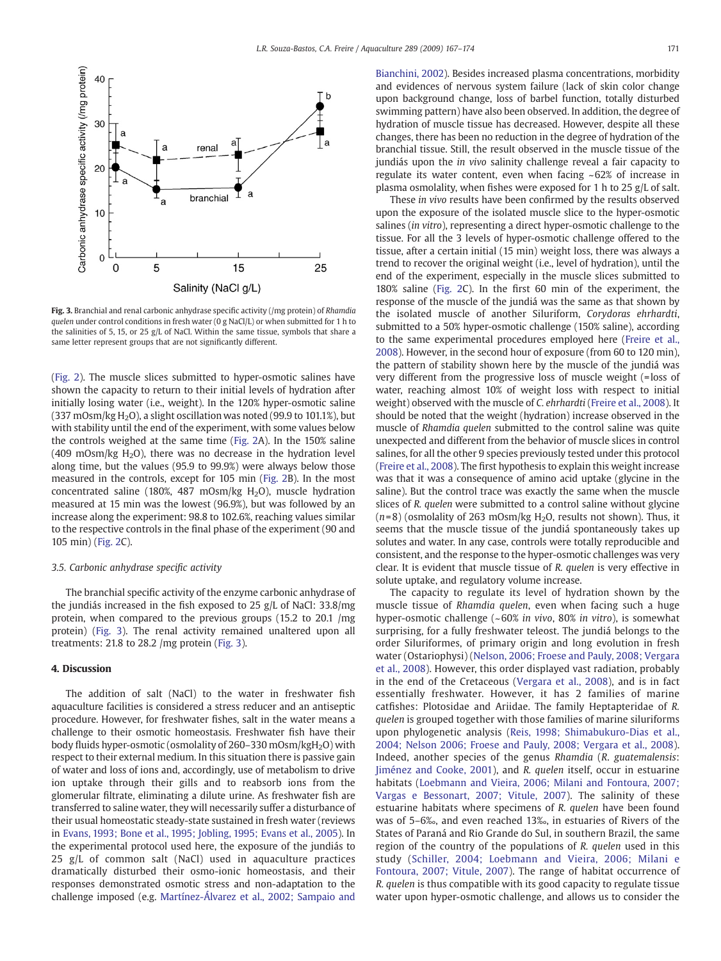

Fig. 3. Branchial and renal carbonic anhydrase specific activity (/mg protein) of Rhamdia quelen under control conditions in fresh water  $(0 \text{ g NaCl/L})$  or when submitted for 1 h to the salinities of 5, 15, or 25 g/L of NaCl. Within the same tissue, symbols that share a same letter represent groups that are not significantly different.

[\(Fig. 2\)](#page-3-0). The muscle slices submitted to hyper-osmotic salines have shown the capacity to return to their initial levels of hydration after initially losing water (i.e., weight). In the 120% hyper-osmotic saline (337 mOsm/kg  $H_2O$ ), a slight oscillation was noted (99.9 to 101.1%), but with stability until the end of the experiment, with some values below the controls weighed at the same time [\(Fig. 2](#page-3-0)A). In the 150% saline (409 mOsm/kg  $H<sub>2</sub>O$ ), there was no decrease in the hydration level along time, but the values (95.9 to 99.9%) were always below those measured in the controls, except for 105 min ([Fig. 2B](#page-3-0)). In the most concentrated saline (180%, 487 mOsm/kg  $H<sub>2</sub>O$ ), muscle hydration measured at 15 min was the lowest (96.9%), but was followed by an increase along the experiment: 98.8 to 102.6%, reaching values similar to the respective controls in the final phase of the experiment (90 and 105 min) ([Fig. 2](#page-3-0)C).

# 3.5. Carbonic anhydrase specific activity

The branchial specific activity of the enzyme carbonic anhydrase of the jundiás increased in the fish exposed to 25 g/L of NaCl: 33.8/mg protein, when compared to the previous groups (15.2 to 20.1 /mg protein) (Fig. 3). The renal activity remained unaltered upon all treatments: 21.8 to 28.2 /mg protein (Fig. 3).

# 4. Discussion

The addition of salt (NaCl) to the water in freshwater fish aquaculture facilities is considered a stress reducer and an antiseptic procedure. However, for freshwater fishes, salt in the water means a challenge to their osmotic homeostasis. Freshwater fish have their body fluids hyper-osmotic (osmolality of 260–330 mOsm/kgH2O) with respect to their external medium. In this situation there is passive gain of water and loss of ions and, accordingly, use of metabolism to drive ion uptake through their gills and to reabsorb ions from the glomerular filtrate, eliminating a dilute urine. As freshwater fish are transferred to saline water, they will necessarily suffer a disturbance of their usual homeostatic steady-state sustained in fresh water (reviews in [Evans, 1993; Bone et al., 1995; Jobling, 1995; Evans et al., 2005](#page-6-0)). In the experimental protocol used here, the exposure of the jundiás to 25 g/L of common salt (NaCl) used in aquaculture practices dramatically disturbed their osmo-ionic homeostasis, and their responses demonstrated osmotic stress and non-adaptation to the challenge imposed (e.g. [Martínez-Álvarez et al., 2002; Sampaio and](#page-6-0) [Bianchini, 2002\)](#page-6-0). Besides increased plasma concentrations, morbidity and evidences of nervous system failure (lack of skin color change upon background change, loss of barbel function, totally disturbed swimming pattern) have also been observed. In addition, the degree of hydration of muscle tissue has decreased. However, despite all these changes, there has been no reduction in the degree of hydration of the branchial tissue. Still, the result observed in the muscle tissue of the jundiás upon the in vivo salinity challenge reveal a fair capacity to regulate its water content, even when facing ~62% of increase in plasma osmolality, when fishes were exposed for 1 h to 25 g/L of salt.

These in vivo results have been confirmed by the results observed upon the exposure of the isolated muscle slice to the hyper-osmotic salines (in vitro), representing a direct hyper-osmotic challenge to the tissue. For all the 3 levels of hyper-osmotic challenge offered to the tissue, after a certain initial (15 min) weight loss, there was always a trend to recover the original weight (i.e., level of hydration), until the end of the experiment, especially in the muscle slices submitted to 180% saline ([Fig. 2](#page-3-0)C). In the first 60 min of the experiment, the response of the muscle of the jundiá was the same as that shown by the isolated muscle of another Siluriform, Corydoras ehrhardti, submitted to a 50% hyper-osmotic challenge (150% saline), according to the same experimental procedures employed here ([Freire et al.,](#page-6-0) [2008\)](#page-6-0). However, in the second hour of exposure (from 60 to 120 min), the pattern of stability shown here by the muscle of the jundiá was very different from the progressive loss of muscle weight (=loss of water, reaching almost 10% of weight loss with respect to initial weight) observed with the muscle of C. ehrhardti [\(Freire et al., 2008\)](#page-6-0). It should be noted that the weight (hydration) increase observed in the muscle of Rhamdia quelen submitted to the control saline was quite unexpected and different from the behavior of muscle slices in control salines, for all the other 9 species previously tested under this protocol [\(Freire et al., 2008\)](#page-6-0). The first hypothesis to explain this weight increase was that it was a consequence of amino acid uptake (glycine in the saline). But the control trace was exactly the same when the muscle slices of R. quelen were submitted to a control saline without glycine  $(n=8)$  (osmolality of 263 mOsm/kg H<sub>2</sub>O, results not shown). Thus, it seems that the muscle tissue of the jundiá spontaneously takes up solutes and water. In any case, controls were totally reproducible and consistent, and the response to the hyper-osmotic challenges was very clear. It is evident that muscle tissue of R. quelen is very effective in solute uptake, and regulatory volume increase.

The capacity to regulate its level of hydration shown by the muscle tissue of Rhamdia quelen, even when facing such a huge hyper-osmotic challenge (~ 60% in vivo, 80% in vitro), is somewhat surprising, for a fully freshwater teleost. The jundiá belongs to the order Siluriformes, of primary origin and long evolution in fresh water (Ostariophysi) [\(Nelson, 2006; Froese and Pauly, 2008; Vergara](#page-6-0) [et al., 2008\)](#page-6-0). However, this order displayed vast radiation, probably in the end of the Cretaceous ([Vergara et al., 2008\)](#page-7-0), and is in fact essentially freshwater. However, it has 2 families of marine catfishes: Plotosidae and Ariidae. The family Heptapteridae of R. quelen is grouped together with those families of marine siluriforms upon phylogenetic analysis ([Reis, 1998; Shimabukuro-Dias et al.,](#page-6-0) [2004; Nelson 2006; Froese and Pauly, 2008; Vergara et al., 2008\)](#page-6-0). Indeed, another species of the genus Rhamdia (R. guatemalensis: [Jiménez and Cooke, 2001](#page-6-0)), and R. quelen itself, occur in estuarine habitats ([Loebmann and Vieira, 2006; Milani and Fontoura, 2007;](#page-6-0) [Vargas e Bessonart, 2007; Vitule, 2007](#page-6-0)). The salinity of these estuarine habitats where specimens of R. quelen have been found was of 5–6‰, and even reached 13‰, in estuaries of Rivers of the States of Paraná and Rio Grande do Sul, in southern Brazil, the same region of the country of the populations of R. quelen used in this study [\(Schiller, 2004; Loebmann and Vieira, 2006; Milani e](#page-6-0) [Fontoura, 2007; Vitule, 2007](#page-6-0)). The range of habitat occurrence of R. quelen is thus compatible with its good capacity to regulate tissue water upon hyper-osmotic challenge, and allows us to consider the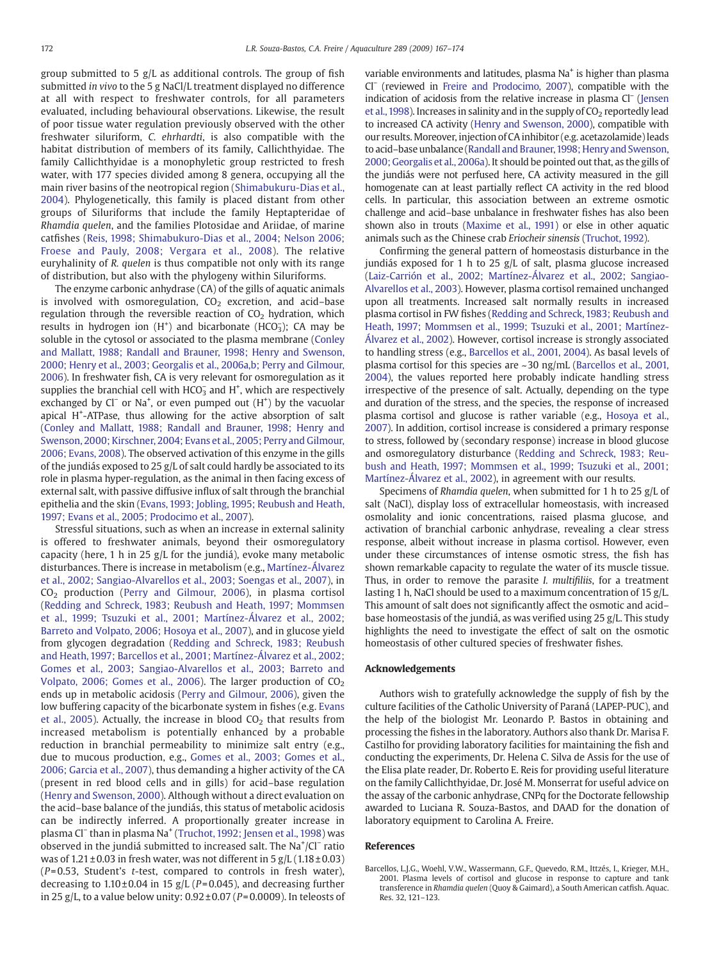group submitted to 5 g/L as additional controls. The group of fish submitted in vivo to the 5 g NaCl/L treatment displayed no difference at all with respect to freshwater controls, for all parameters evaluated, including behavioural observations. Likewise, the result of poor tissue water regulation previously observed with the other freshwater siluriform, C. ehrhardti, is also compatible with the habitat distribution of members of its family, Callichthyidae. The family Callichthyidae is a monophyletic group restricted to fresh water, with 177 species divided among 8 genera, occupying all the main river basins of the neotropical region [\(Shimabukuru-Dias et al.,](#page-6-0) [2004\)](#page-6-0). Phylogenetically, this family is placed distant from other groups of Siluriforms that include the family Heptapteridae of Rhamdia quelen, and the families Plotosidae and Ariidae, of marine catfishes ([Reis, 1998; Shimabukuro-Dias et al., 2004; Nelson 2006;](#page-6-0) [Froese and Pauly, 2008; Vergara et al., 2008](#page-6-0)). The relative euryhalinity of R. quelen is thus compatible not only with its range of distribution, but also with the phylogeny within Siluriforms.

The enzyme carbonic anhydrase (CA) of the gills of aquatic animals is involved with osmoregulation,  $CO<sub>2</sub>$  excretion, and acid–base regulation through the reversible reaction of  $CO<sub>2</sub>$  hydration, which results in hydrogen ion  $(H<sup>+</sup>)$  and bicarbonate (HCO<sub>3</sub>); CA may be soluble in the cytosol or associated to the plasma membrane [\(Conley](#page-6-0) [and Mallatt, 1988; Randall and Brauner, 1998; Henry and Swenson,](#page-6-0) [2000; Henry et al., 2003; Georgalis et al., 2006a,b; Perry and Gilmour,](#page-6-0) [2006](#page-6-0)). In freshwater fish, CA is very relevant for osmoregulation as it supplies the branchial cell with  $HCO<sub>3</sub><sup>-</sup>$  and H<sup>+</sup>, which are respectively exchanged by Cl<sup>−</sup> or Na<sup>+</sup>, or even pumped out (H<sup>+</sup>) by the vacuolar apical H<sup>+</sup>-ATPase, thus allowing for the active absorption of salt ([Conley and Mallatt, 1988; Randall and Brauner, 1998; Henry and](#page-6-0) [Swenson, 2000; Kirschner, 2004; Evans et al., 2005; Perry and Gilmour,](#page-6-0) [2006; Evans, 2008\)](#page-6-0). The observed activation of this enzyme in the gills of the jundiás exposed to 25 g/L of salt could hardly be associated to its role in plasma hyper-regulation, as the animal in then facing excess of external salt, with passive diffusive influx of salt through the branchial epithelia and the skin [\(Evans, 1993; Jobling, 1995; Reubush and Heath,](#page-6-0) [1997; Evans et al., 2005; Prodocimo et al., 2007\)](#page-6-0).

Stressful situations, such as when an increase in external salinity is offered to freshwater animals, beyond their osmoregulatory capacity (here, 1 h in 25 g/L for the jundiá), evoke many metabolic disturbances. There is increase in metabolism (e.g., [Martínez-Álvarez](#page-6-0) [et al., 2002; Sangiao-Alvarellos et al., 2003; Soengas et al., 2007](#page-6-0)), in CO2 production [\(Perry and Gilmour, 2006\)](#page-6-0), in plasma cortisol ([Redding and Schreck, 1983; Reubush and Heath, 1997; Mommsen](#page-6-0) [et al., 1999; Tsuzuki et al., 2001; Martínez-Álvarez et al., 2002;](#page-6-0) [Barreto and Volpato, 2006; Hosoya et al., 2007\)](#page-6-0), and in glucose yield from glycogen degradation ([Redding and Schreck, 1983; Reubush](#page-6-0) [and Heath, 1997; Barcellos et al., 2001; Martínez-Álvarez et al., 2002;](#page-6-0) [Gomes et al., 2003; Sangiao-Alvarellos et al., 2003; Barreto and](#page-6-0) [Volpato, 2006; Gomes et al., 2006](#page-6-0)). The larger production of  $CO<sub>2</sub>$ ends up in metabolic acidosis [\(Perry and Gilmour, 2006](#page-6-0)), given the low buffering capacity of the bicarbonate system in fishes (e.g. [Evans](#page-6-0) [et al., 2005\)](#page-6-0). Actually, the increase in blood  $CO<sub>2</sub>$  that results from increased metabolism is potentially enhanced by a probable reduction in branchial permeability to minimize salt entry (e.g., due to mucous production, e.g., [Gomes et al., 2003; Gomes et al.,](#page-6-0) [2006; Garcia et al., 2007](#page-6-0)), thus demanding a higher activity of the CA (present in red blood cells and in gills) for acid–base regulation ([Henry and Swenson, 2000](#page-6-0)). Although without a direct evaluation on the acid–base balance of the jundiás, this status of metabolic acidosis can be indirectly inferred. A proportionally greater increase in plasma Cl<sup>−</sup> than in plasma Na<sup>+</sup> [\(Truchot, 1992; Jensen et al., 1998\)](#page-6-0) was observed in the jundiá submitted to increased salt. The Na<sup>+</sup>/Cl<sup>−</sup> ratio was of  $1.21 \pm 0.03$  in fresh water, was not different in  $5 \text{ g/L}$  ( $1.18 \pm 0.03$ )  $(P= 0.53$ , Student's t-test, compared to controls in fresh water), decreasing to  $1.10 \pm 0.04$  in 15 g/L (P=0.045), and decreasing further in 25 g/L, to a value below unity:  $0.92 \pm 0.07$  (P=0.0009). In teleosts of variable environments and latitudes, plasma Na<sup>+</sup> is higher than plasma Cl<sup>−</sup> (reviewed in [Freire and Prodocimo, 2007\)](#page-6-0), compatible with the indication of acidosis from the relative increase in plasma Cl<sup>−</sup> [\(Jensen](#page-6-0) et al., 1998). Increases in salinity and in the supply of  $CO<sub>2</sub>$  reportedly lead to increased CA activity ([Henry and Swenson, 2000\)](#page-6-0), compatible with our results. Moreover, injection of CA inhibitor (e.g. acetazolamide) leads to acid–base unbalance ([Randall and Brauner,1998; Henry and Swenson,](#page-6-0) [2000; Georgalis et al., 2006a](#page-6-0)). It should be pointed out that, as the gills of the jundiás were not perfused here, CA activity measured in the gill homogenate can at least partially reflect CA activity in the red blood cells. In particular, this association between an extreme osmotic challenge and acid–base unbalance in freshwater fishes has also been shown also in trouts [\(Maxime et al., 1991\)](#page-6-0) or else in other aquatic animals such as the Chinese crab Eriocheir sinensis [\(Truchot, 1992](#page-6-0)).

Confirming the general pattern of homeostasis disturbance in the jundiás exposed for 1 h to 25 g/L of salt, plasma glucose increased ([Laiz-Carrión et al., 2002; Martínez-Álvarez et al., 2002; Sangiao-](#page-6-0)[Alvarellos et al., 2003\)](#page-6-0). However, plasma cortisol remained unchanged upon all treatments. Increased salt normally results in increased plasma cortisol in FW fishes [\(Redding and Schreck, 1983; Reubush and](#page-6-0) [Heath, 1997; Mommsen et al., 1999; Tsuzuki et al., 2001; Martínez-](#page-6-0)[Álvarez et al., 2002\)](#page-6-0). However, cortisol increase is strongly associated to handling stress (e.g., Barcellos et al., 2001, 2004). As basal levels of plasma cortisol for this species are ~30 ng/mL (Barcellos et al., 2001, 2004), the values reported here probably indicate handling stress irrespective of the presence of salt. Actually, depending on the type and duration of the stress, and the species, the response of increased plasma cortisol and glucose is rather variable (e.g., [Hosoya et al.,](#page-6-0) [2007](#page-6-0)). In addition, cortisol increase is considered a primary response to stress, followed by (secondary response) increase in blood glucose and osmoregulatory disturbance ([Redding and Schreck, 1983; Reu](#page-6-0)[bush and Heath, 1997; Mommsen et al., 1999; Tsuzuki et al., 2001;](#page-6-0) [Martínez-Álvarez et al., 2002](#page-6-0)), in agreement with our results.

Specimens of Rhamdia quelen, when submitted for 1 h to 25 g/L of salt (NaCl), display loss of extracellular homeostasis, with increased osmolality and ionic concentrations, raised plasma glucose, and activation of branchial carbonic anhydrase, revealing a clear stress response, albeit without increase in plasma cortisol. However, even under these circumstances of intense osmotic stress, the fish has shown remarkable capacity to regulate the water of its muscle tissue. Thus, in order to remove the parasite *I. multifiliis*, for a treatment lasting 1 h, NaCl should be used to a maximum concentration of 15 g/L. This amount of salt does not significantly affect the osmotic and acid– base homeostasis of the jundiá, as was verified using 25 g/L. This study highlights the need to investigate the effect of salt on the osmotic homeostasis of other cultured species of freshwater fishes.

# Acknowledgements

Authors wish to gratefully acknowledge the supply of fish by the culture facilities of the Catholic University of Paraná (LAPEP-PUC), and the help of the biologist Mr. Leonardo P. Bastos in obtaining and processing the fishes in the laboratory. Authors also thank Dr. Marisa F. Castilho for providing laboratory facilities for maintaining the fish and conducting the experiments, Dr. Helena C. Silva de Assis for the use of the Elisa plate reader, Dr. Roberto E. Reis for providing useful literature on the family Callichthyidae, Dr. José M. Monserrat for useful advice on the assay of the carbonic anhydrase, CNPq for the Doctorate fellowship awarded to Luciana R. Souza-Bastos, and DAAD for the donation of laboratory equipment to Carolina A. Freire.

### References

Barcellos, L.J.G., Woehl, V.W., Wassermann, G.F., Quevedo, R.M., Ittzés, I., Krieger, M.H., 2001. Plasma levels of cortisol and glucose in response to capture and tank transference in Rhamdia quelen (Quoy & Gaimard), a South American catfish. Aquac. Res. 32, 121–123.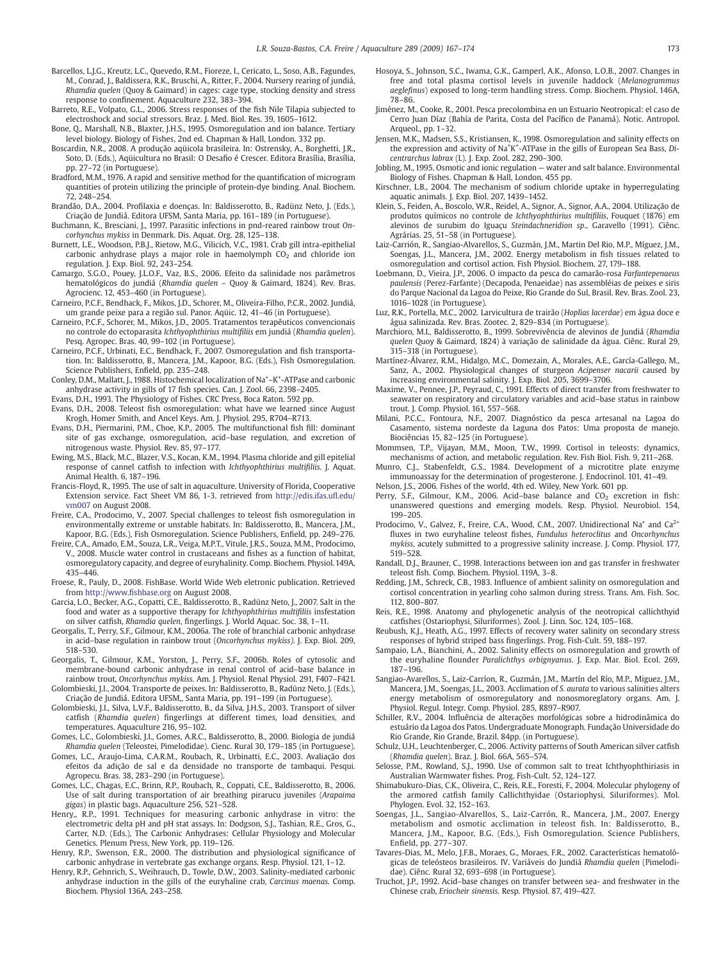- <span id="page-6-0"></span>Barcellos, L.J.G., Kreutz, L.C., Quevedo, R.M., Fioreze, I., Cericato, L., Soso, A.B., Fagundes, M., Conrad, J., Baldissera, R.K., Bruschi, A., Ritter, F., 2004. Nursery rearing of jundiá, Rhamdia quelen (Quoy & Gaimard) in cages: cage type, stocking density and stress response to confinement. Aquaculture 232, 383–394.
- Barreto, R.E., Volpato, G.L., 2006. Stress responses of the fish Nile Tilapia subjected to electroshock and social stressors. Braz. J. Med. Biol. Res. 39, 1605–1612.
- Bone, Q., Marshall, N.B., Blaxter, J.H.S., 1995. Osmoregulation and ion balance. Tertiary level biology. Biology of Fishes, 2nd ed. Chapman & Hall, London. 332 pp.
- Boscardin, N.R., 2008. A produção aqüicola brasileira. In: Ostrensky, A., Borghetti, J.R., Soto, D. (Eds.), Aqüicultura no Brasil: O Desafio é Crescer. Editora Brasília, Brasília, pp. 27–72 (in Portuguese).
- Bradford, M.M., 1976. A rapid and sensitive method for the quantification of microgram quantities of protein utilizing the principle of protein-dye binding. Anal. Biochem. 72, 248–254.
- Brandão, D.A., 2004. Profilaxia e doenças. In: Baldisserotto, B., Radünz Neto, J. (Eds.), Criação de Jundiá. Editora UFSM, Santa Maria, pp. 161–189 (in Portuguese).
- Buchmann, K., Bresciani, J., 1997. Parasitic infections in pnd-reared rainbow trout Oncorhynchus mykiss in Denmark. Dis. Aquat. Org. 28, 125–138.
- Burnett, L.E., Woodson, P.B.J., Rietow, M.G., Vilicich, V.C., 1981. Crab gill intra-epithelial carbonic anhydrase plays a major role in haemolymph  $CO<sub>2</sub>$  and chloride ion regulation. J. Exp. Biol. 92, 243–254.
- Camargo, S.G.O., Pouey, J.L.O.F., Vaz, B.S., 2006. Efeito da salinidade nos parâmetros hematológicos do jundiá (Rhamdia quelen – Quoy & Gaimard, 1824). Rev. Bras. Agrocienc. 12, 453–460 (in Portuguese).
- Carneiro, P.C.F., Bendhack, F., Mikos, J.D., Schorer, M., Oliveira-Filho, P.C.R., 2002. Jundiá, um grande peixe para a região sul. Panor. Aqüic. 12, 41–46 (in Portuguese).
- Carneiro, P.C.F., Schorer, M., Mikos, J.D., 2005. Tratamentos terapêuticos convencionais no controle do ectoparasita Ichthyophthirius multifiliis em jundiá (Rhamdia quelen). Pesq. Agropec. Bras. 40, 99–102 (in Portuguese).
- Carneiro, P.C.F., Urbinati, E.C., Bendhack, F., 2007. Osmoregulation and fish transportation. In: Baldisserotto, B., Mancera, J.M., Kapoor, B.G. (Eds.), Fish Osmoregulation. Science Publishers, Enfield, pp. 235–248.
- Conley, D.M., Mallatt, J., 1988. Histochemical localization of Na<sup>+</sup>-K<sup>+</sup>-ATPase and carbonic anhydrase activity in gills of 17 fish species. Can. J. Zool. 66, 2398–2405.
- Evans, D.H., 1993. The Physiology of Fishes. CRC Press, Boca Raton. 592 pp.
- Evans, D.H., 2008. Teleost fish osmoregulation: what have we learned since August Krogh, Homer Smith, and Ancel Keys. Am. J. Physiol. 295, R704–R713.
- Evans, D.H., Piermarini, P.M., Choe, K.P., 2005. The multifunctional fish fill: dominant site of gas exchange, osmoregulation, acid–base regulation, and excretion of nitrogenous waste. Physiol. Rev. 85, 97–177.
- Ewing, M.S., Black, M.C., Blazer, V.S., Kocan, K.M., 1994. Plasma chloride and gill epitelial response of cannel catfish to infection with Ichthyophthirius multifiliis. J. Aquat. Animal Health. 6, 187–196.
- Francis-Floyd, R., 1995. The use of salt in aquaculture. University of Florida, Cooperative Extension service. Fact Sheet VM 86, 1-3. retrieved from [http://edis.ifas.u](http://edis.ifas.ufl.edu/vm007)fl.edu/ [vm007](http://edis.ifas.ufl.edu/vm007) on August 2008.
- Freire, C.A., Prodocimo, V., 2007. Special challenges to teleost fish osmoregulation in environmentally extreme or unstable habitats. In: Baldisserotto, B., Mancera, J.M., Kapoor, B.G. (Eds.), Fish Osmoregulation. Science Publishers, Enfield, pp. 249–276.
- Freire, C.A., Amado, E.M., Souza, L.R., Veiga, M.P.T., Vitule, J.R.S., Souza, M.M., Prodocimo, V., 2008. Muscle water control in crustaceans and fishes as a function of habitat, osmoregulatory capacity, and degree of euryhalinity. Comp. Biochem. Physiol. 149A, 435–446.
- Froese, R., Pauly, D., 2008. FishBase. World Wide Web eletronic publication. Retrieved from [http://www.](http://www.fishbase.org)fishbase.org on August 2008.
- Garcia, L.O., Becker, A.G., Copatti, C.E., Baldisserotto, B., Radünz Neto, J., 2007. Salt in the food and water as a supportive therapy for Ichthyophthirius multifiliis insfestation on silver catfish, Rhamdia quelen, fingerlings. J. World Aquac. Soc. 38, 1–11.
- Georgalis, T., Perry, S.F., Gilmour, K.M., 2006a. The role of branchial carbonic anhydrase in acid–base regulation in rainbow trout (Oncorhynchus mykiss). J. Exp. Biol. 209, 518–530.
- Georgalis, T., Gilmour, K.M., Yorston, J., Perry, S.F., 2006b. Roles of cytosolic and membrane-bound carbonic anhydrase in renal control of acid–base balance in rainbow trout, Oncorhynchus mykiss. Am. J. Physiol. Renal Physiol. 291, F407–F421.
- Golombieski, J.I., 2004. Transporte de peixes. In: Baldisserotto, B., Radünz Neto, J. (Eds.), Criação de Jundiá. Editora UFSM,, Santa Maria, pp. 191–199 (in Portuguese).
- Golombieski, J.I., Silva, L.V.F., Baldisserotto, B., da Silva, J.H.S., 2003. Transport of silver catfish (Rhamdia quelen) fingerlings at different times, load densities, and temperatures. Aquaculture 216, 95–102.
- Gomes, L.C., Golombieski, J.I., Gomes, A.R.C., Baldisserotto, B., 2000. Biologia de jundiá Rhamdia quelen (Teleostei, Pimelodidae). Cienc. Rural 30, 179–185 (in Portuguese).
- Gomes, L.C., Araujo-Lima, C.A.R.M., Roubach, R., Urbinatti, E.C., 2003. Avaliação dos efeitos da adição de sal e da densidade no transporte de tambaqui. Pesqui. Agropecu. Bras. 38, 283–290 (in Portuguese).
- Gomes, L.C., Chagas, E.C., Brinn, R.P., Roubach, R., Coppati, C.E., Baldisserotto, B., 2006. Use of salt during transportation of air breathing pirarucu juveniles (Arapaima gigas) in plastic bags. Aquaculture 256, 521–528.
- Henry,, R.P., 1991. Techniques for measuring carbonic anhydrase in vitro: the electrometric delta pH and pH stat assays. In: Dodgson, S.J., Tashian, R.E., Gros, G., Carter, N.D. (Eds.), The Carbonic Anhydrases: Cellular Physiology and Molecular Genetics. Plenum Press, New York, pp. 119–126.
- Henry, R.P., Swenson, E.R., 2000. The distribution and physiological significance of carbonic anhydrase in vertebrate gas exchange organs. Resp. Physiol. 121, 1–12.
- Henry, R.P., Gehnrich, S., Weihrauch, D., Towle, D.W., 2003. Salinity-mediated carbonic anhydrase induction in the gills of the euryhaline crab, Carcinus maenas. Comp. Biochem. Physiol 136A, 243–258.
- Hosoya, S., Johnson, S.C., Iwama, G.K., Gamperl, A.K., Afonso, L.O.B., 2007. Changes in free and total plasma cortisol levels in juvenile haddock (Melanogrammus aeglefinus) exposed to long-term handling stress. Comp. Biochem. Physiol. 146A, 78–86.
- Jiménez, M., Cooke, R., 2001. Pesca precolombina en un Estuario Neotropical: el caso de Cerro Juan Díaz (Bahía de Parita, Costa del Pacífico de Panamá). Notic. Antropol. Arqueol., pp. 1–32.
- Jensen, M.K., Madsen, S.S., Kristiansen, K., 1998. Osmoregulation and salinity effects on the expression and activity of Na<sup>+</sup>K<sup>+</sup>-ATPase in the gills of European Sea Bass, Dicentrarchus labrax (L). J. Exp. Zool. 282, 290–300.
- Jobling, M., 1995. Osmotic and ionic regulation water and salt balance. Environmental
- Biology of Fishes. Chapman & Hall, London. 455 pp. Kirschner, L.B., 2004. The mechanism of sodium chloride uptake in hyperregulating aquatic animals. J. Exp. Biol. 207, 1439–1452.
- Klein, S., Feiden, A., Boscolo, W.R., Reidel, A., Signor, A. A., 2004. Utilização de produtos químicos no controle de Ichthyophthirius multifiliis, Fouquet (1876) em alevinos de surubim do Iguaçu Steindachneridion sp., Garavello (1991). Ciênc. Agrárias. 25, 51–58 (in Portuguese).
- Laiz-Carrión, R., Sangiao-Alvarellos, S., Guzmán, J.M., Martin Del Rio, M.P., Míguez, J.M., Soengas, J.L., Mancera, J.M., 2002. Energy metabolism in fish tissues related to osmoregulation and cortisol action. Fish Physiol. Biochem. 27, 179–188.
- Loebmann, D., Vieira, J.P., 2006. O impacto da pesca do camarão-rosa Farfantepenaeus paulensis (Perez-Farfante) (Decapoda, Penaeidae) nas assembléias de peixes e siris do Parque Nacional da Lagoa do Peixe, Rio Grande do Sul, Brasil. Rev. Bras. Zool. 23, 1016–1028 (in Portuguese).
- Luz, R.K., Portella, M.C., 2002. Larvicultura de trairão (Hoplias lacerdae) em água doce e água salinizada. Rev. Bras. Zootec. 2, 829–834 (in Portuguese).
- Marchioro, M.I., Baldisserotto, B., 1999. Sobrevivência de alevinos de Jundiá (Rhamdia quelen Quoy & Gaimard, 1824) à variação de salinidade da água. Ciênc. Rural 29, 315–318 (in Portuguese).
- Martínez-Álvarez, R.M., Hidalgo, M.C., Domezain, A., Morales, A.E., García-Gallego, M., Sanz, A., 2002. Physiological changes of sturgeon Acipenser nacarii caused by increasing environmental salinity. J. Exp. Biol. 205, 3699–3706.
- Maxime, V., Pennee, J.P., Peyraud, C., 1991. Effects of direct transfer from freshwater to seawater on respiratory and circulatory variables and acid–base status in rainbow trout. J. Comp. Physiol. 161, 557–568.
- Milani, P.C.C., Fontoura, N.F., 2007. Diagnóstico da pesca artesanal na Lagoa do Casamento, sistema nordeste da Laguna dos Patos: Uma proposta de manejo. Biociências 15, 82–125 (in Portuguese).
- Mommsen, T.P., Vijayan, M.M., Moon, T.W., 1999. Cortisol in teleosts: dynamics, mechanisms of action, and metabolic regulation. Rev. Fish Biol. Fish. 9, 211–268.
- Munro, C.J., Stabenfeldt, G.S., 1984. Development of a microtitre plate enzyme immunoassay for the determination of progesterone. J. Endocrinol. 101, 41–49.
- Nelson, J.S., 2006. Fishes of the world, 4th ed. Wiley, New York. 601 pp.
- Perry, S.F., Gilmour, K.M., 2006. Acid-base balance and  $CO<sub>2</sub>$  excretion in fish: unanswered questions and emerging models. Resp. Physiol. Neurobiol. 154, 199–205.
- Prodocimo, V., Galvez, F., Freire, C.A., Wood, C.M., 2007. Unidirectional Na<sup>+</sup> and Ca<sup>2+</sup> fluxes in two euryhaline teleost fishes, Fundulus heteroclitus and Oncorhynchus mykiss, acutely submitted to a progressive salinity increase. J. Comp. Physiol. 177, 519–528.
- Randall, D.J., Brauner, C., 1998. Interactions between ion and gas transfer in freshwater teleost fish. Comp. Biochem. Physiol. 119A, 3–8.
- Redding, J.M., Schreck, C.B., 1983. Influence of ambient salinity on osmoregulation and cortisol concentration in yearling coho salmon during stress. Trans. Am. Fish. Soc. 112, 800–807.
- Reis, R.E., 1998. Anatomy and phylogenetic analysis of the neotropical callichthyid catfishes (Ostariophysi, Siluriformes). Zool. J. Linn. Soc. 124, 105–168.
- Reubush, K.J., Heath, A.G., 1997. Effects of recovery water salinity on secondary stress responses of hybrid striped bass fingerlings. Prog. Fish-Cult. 59, 188–197.
- Sampaio, L.A., Bianchini, A., 2002. Salinity effects on osmoregulation and growth of the euryhaline flounder Paralichthys orbignyanus. J. Exp. Mar. Biol. Ecol. 269, 187–196.
- Sangiao-Avarellos, S., Laiz-Carríon, R., Guzmán, J.M., Martín del Río, M.P., Miguez, J.M., Mancera, J.M., Soengas, J.L., 2003. Acclimation of S. aurata to various salinities alters energy metabolism of osmoregulatory and nonosmoreglatory organs. Am. J. Physiol. Regul. Integr. Comp. Physiol. 285, R897–R907.
- Schiller, R.V., 2004. Influência de alterações morfológicas sobre a hidrodinâmica do estuário da Lagoa dos Patos. Undergraduate Monograph. Fundação Universidade do Rio Grande, Rio Grande, Brazil. 84pp. (in Portuguese).
- Schulz, U.H., Leuchtenberger, C., 2006. Activity patterns of South American silver catfish (Rhamdia quelen). Braz. J. Biol. 66A, 565–574.
- Selosse, P.M., Rowland, S.J., 1990. Use of common salt to treat Ichthyophthiriasis in Australian Warmwater fishes. Prog. Fish-Cult. 52, 124–127.
- Shimabukuro-Dias, C.K., Oliveira, C., Reis, R.E., Foresti, F., 2004. Molecular phylogeny of the armored catfish family Callichthyidae (Ostariophysi, Siluriformes). Mol. Phylogen. Evol. 32, 152–163.
- Soengas, J.L., Sangiao-Alvarellos, S., Laiz-Carrón, R., Mancera, J.M., 2007. Energy metabolism and osmotic acclimation in teleost fish. In: Baldisserotto, B., Mancera, J.M., Kapoor, B.G. (Eds.), Fish Osmoregulation. Science Publishers, Enfield, pp. 277–307.
- Tavares-Dias, M., Melo, J.F.B., Moraes, G., Moraes, F.R., 2002. Características hematológicas de teleósteos brasileiros. IV. Variáveis do Jundiá Rhamdia quelen (Pimelodidae). Ciênc. Rural 32, 693–698 (in Portuguese).
- Truchot, J.P., 1992. Acid–base changes on transfer between sea- and freshwater in the Chinese crab, Eriocheir sinensis. Resp. Physiol. 87, 419–427.